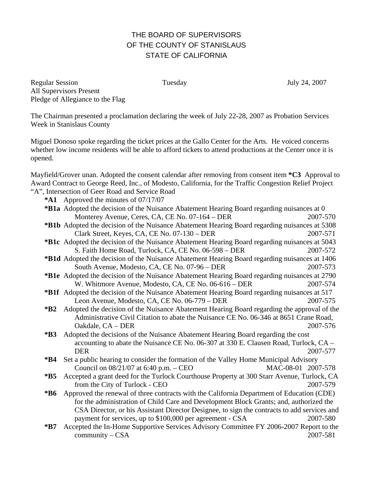## THE BOARD OF SUPERVISORS OF THE COUNTY OF STANISLAUS STATE OF CALIFORNIA

Regular Session Tuesday July 24, 2007 All Supervisors Present Pledge of Allegiance to the Flag

The Chairman presented a proclamation declaring the week of July 22-28, 2007 as Probation Services Week in Stanislaus County

Miguel Donoso spoke regarding the ticket prices at the Gallo Center for the Arts. He voiced concerns whether low income residents will be able to afford tickets to attend productions at the Center once it is opened.

Mayfield/Grover unan. Adopted the consent calendar after removing from consent item **\*C3** Approval to Award Contract to George Reed, Inc., of Modesto, California, for the Traffic Congestion Relief Project "A", Intersection of Geer Road and Service Road

**\*A1** Approved the minutes of 07/17/07

| <b>*B1a</b> Adopted the decision of the Nuisance Abatement Hearing Board regarding nuisances at 0 |                                                                                                                                                                                     |          |  |
|---------------------------------------------------------------------------------------------------|-------------------------------------------------------------------------------------------------------------------------------------------------------------------------------------|----------|--|
|                                                                                                   | Monterey Avenue, Ceres, CA, CE No. 07-164 – DER                                                                                                                                     | 2007-570 |  |
|                                                                                                   | *B1b Adopted the decision of the Nuisance Abatement Hearing Board regarding nuisances at 5308                                                                                       |          |  |
|                                                                                                   | Clark Street, Keyes, CA, CE No. 07-130 – DER                                                                                                                                        | 2007-571 |  |
|                                                                                                   | *B1c Adopted the decision of the Nuisance Abatement Hearing Board regarding nuisances at 5043                                                                                       |          |  |
|                                                                                                   | S. Faith Home Road, Turlock, CA, CE No. 06-598 - DER                                                                                                                                | 2007-572 |  |
|                                                                                                   | *B1d Adopted the decision of the Nuisance Abatement Hearing Board regarding nuisances at 1406                                                                                       |          |  |
|                                                                                                   | South Avenue, Modesto, CA, CE No. 07-96 – DER                                                                                                                                       | 2007-573 |  |
|                                                                                                   | *B1e Adopted the decision of the Nuisance Abatement Hearing Board regarding nuisances at 2790                                                                                       |          |  |
|                                                                                                   | W. Whitmore Avenue, Modesto, CA, CE No. 06-616 - DER                                                                                                                                | 2007-574 |  |
|                                                                                                   | *B1f Adopted the decision of the Nuisance Abatement Hearing Board regarding nuisances at 517                                                                                        |          |  |
|                                                                                                   | Leon Avenue, Modesto, CA, CE No. 06-779 – DER                                                                                                                                       | 2007-575 |  |
| $*B2$                                                                                             | Adopted the decision of the Nuisance Abatement Hearing Board regarding the approval of the                                                                                          |          |  |
|                                                                                                   | Administrative Civil Citation to abate the Nuisance CE No. 06-346 at 8651 Crane Road,                                                                                               |          |  |
|                                                                                                   | Oakdale, CA - DER                                                                                                                                                                   | 2007-576 |  |
| $*B3$                                                                                             | Adopted the decisions of the Nuisance Abatement Hearing Board regarding the cost                                                                                                    |          |  |
|                                                                                                   | accounting to abate the Nuisance CE No. 06-307 at 330 E. Clausen Road, Turlock, CA -                                                                                                |          |  |
|                                                                                                   | <b>DER</b>                                                                                                                                                                          | 2007-577 |  |
| $*B4$                                                                                             | Set a public hearing to consider the formation of the Valley Home Municipal Advisory                                                                                                |          |  |
|                                                                                                   | Council on $08/21/07$ at 6:40 p.m. – CEO<br>MAC-08-01 2007-578                                                                                                                      |          |  |
| $*B5$                                                                                             | Accepted a grant deed for the Turlock Courthouse Property at 300 Starr Avenue, Turlock, CA                                                                                          |          |  |
|                                                                                                   | from the City of Turlock - CEO                                                                                                                                                      | 2007-579 |  |
| $*B6$                                                                                             | Approved the renewal of three contracts with the California Department of Education (CDE)<br>for the administration of Child Care and Development Block Grants; and, authorized the |          |  |
|                                                                                                   | CSA Director, or his Assistant Director Designee, to sign the contracts to add services and                                                                                         |          |  |
|                                                                                                   | payment for services, up to \$100,000 per agreement - CSA                                                                                                                           | 2007-580 |  |
| $*B7$                                                                                             | Accepted the In-Home Supportive Services Advisory Committee FY 2006-2007 Report to the                                                                                              |          |  |
|                                                                                                   | community $-$ CSA                                                                                                                                                                   | 2007-581 |  |
|                                                                                                   |                                                                                                                                                                                     |          |  |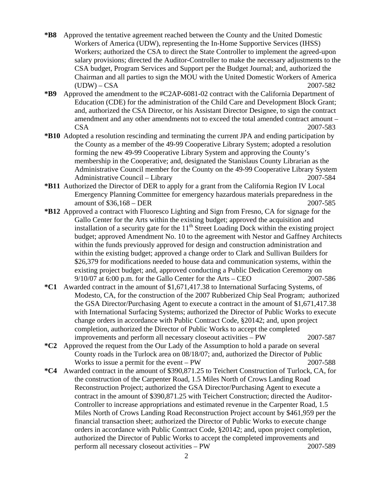- **\*B8** Approved the tentative agreement reached between the County and the United Domestic Workers of America (UDW), representing the In-Home Supportive Services (IHSS) Workers; authorized the CSA to direct the State Controller to implement the agreed-upon salary provisions; directed the Auditor-Controller to make the necessary adjustments to the CSA budget, Program Services and Support per the Budget Journal; and, authorized the Chairman and all parties to sign the MOU with the United Domestic Workers of America (UDW) – CSA 2007-582
- **\*B9** Approved the amendment to the #C2AP-6081-02 contract with the California Department of Education (CDE) for the administration of the Child Care and Development Block Grant; and, authorized the CSA Director, or his Assistant Director Designee, to sign the contract amendment and any other amendments not to exceed the total amended contract amount – CSA 2007-583
- **\*B10** Adopted a resolution rescinding and terminating the current JPA and ending participation by the County as a member of the 49-99 Cooperative Library System; adopted a resolution forming the new 49-99 Cooperative Library System and approving the County's membership in the Cooperative; and, designated the Stanislaus County Librarian as the Administrative Council member for the County on the 49-99 Cooperative Library System Administrative Council – Library 2007-584
- **\*B11** Authorized the Director of DER to apply for a grant from the California Region IV Local Emergency Planning Committee for emergency hazardous materials preparedness in the amount of \$36,168 – DER 2007-585
- **\*B12** Approved a contract with Fluoresco Lighting and Sign from Fresno, CA for signage for the Gallo Center for the Arts within the existing budget; approved the acquisition and installation of a security gate for the  $11<sup>th</sup>$  Street Loading Dock within the existing project budget; approved Amendment No. 10 to the agreement with Nestor and Gaffney Architects within the funds previously approved for design and construction administration and within the existing budget; approved a change order to Clark and Sullivan Builders for \$26,379 for modifications needed to house data and communication systems, within the existing project budget; and, approved conducting a Public Dedication Ceremony on 9/10/07 at 6:00 p.m. for the Gallo Center for the Arts – CEO 2007-586
- **\*C1** Awarded contract in the amount of \$1,671,417.38 to International Surfacing Systems, of Modesto, CA, for the construction of the 2007 Rubberized Chip Seal Program; authorized the GSA Director/Purchasing Agent to execute a contract in the amount of \$1,671,417.38 with International Surfacing Systems; authorized the Director of Public Works to execute change orders in accordance with Public Contract Code, §20142; and, upon project completion, authorized the Director of Public Works to accept the completed improvements and perform all necessary closeout activities – PW 2007-587
- **\*C2** Approved the request from the Our Lady of the Assumption to hold a parade on several County roads in the Turlock area on 08/18/07; and, authorized the Director of Public Works to issue a permit for the event – PW 2007-588
- **\*C4** Awarded contract in the amount of \$390,871.25 to Teichert Construction of Turlock, CA, for the construction of the Carpenter Road, 1.5 Miles North of Crows Landing Road Reconstruction Project; authorized the GSA Director/Purchasing Agent to execute a contract in the amount of \$390,871.25 with Teichert Construction; directed the Auditor-Controller to increase appropriations and estimated revenue in the Carpenter Road, 1.5 Miles North of Crows Landing Road Reconstruction Project account by \$461,959 per the financial transaction sheet; authorized the Director of Public Works to execute change orders in accordance with Public Contract Code, §20142; and, upon project completion, authorized the Director of Public Works to accept the completed improvements and perform all necessary closeout activities – PW 2007-589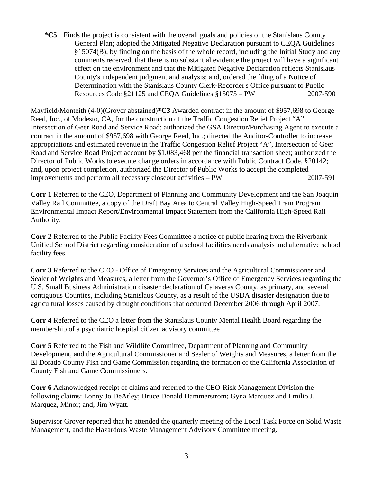**\*C5** Finds the project is consistent with the overall goals and policies of the Stanislaus County General Plan; adopted the Mitigated Negative Declaration pursuant to CEQA Guidelines §15074(B), by finding on the basis of the whole record, including the Initial Study and any comments received, that there is no substantial evidence the project will have a significant effect on the environment and that the Mitigated Negative Declaration reflects Stanislaus County's independent judgment and analysis; and, ordered the filing of a Notice of Determination with the Stanislaus County Clerk-Recorder's Office pursuant to Public Resources Code §21125 and CEQA Guidelines §15075 – PW 2007-590

Mayfield/Monteith (4-0)(Grover abstained)**\*C3** Awarded contract in the amount of \$957,698 to George Reed, Inc., of Modesto, CA, for the construction of the Traffic Congestion Relief Project "A", Intersection of Geer Road and Service Road; authorized the GSA Director/Purchasing Agent to execute a contract in the amount of \$957,698 with George Reed, Inc.; directed the Auditor-Controller to increase appropriations and estimated revenue in the Traffic Congestion Relief Project "A", Intersection of Geer Road and Service Road Project account by \$1,083,468 per the financial transaction sheet; authorized the Director of Public Works to execute change orders in accordance with Public Contract Code, §20142; and, upon project completion, authorized the Director of Public Works to accept the completed improvements and perform all necessary closeout activities – PW 2007-591

**Corr 1** Referred to the CEO, Department of Planning and Community Development and the San Joaquin Valley Rail Committee, a copy of the Draft Bay Area to Central Valley High-Speed Train Program Environmental Impact Report/Environmental Impact Statement from the California High-Speed Rail Authority.

**Corr 2** Referred to the Public Facility Fees Committee a notice of public hearing from the Riverbank Unified School District regarding consideration of a school facilities needs analysis and alternative school facility fees

**Corr 3** Referred to the CEO - Office of Emergency Services and the Agricultural Commissioner and Sealer of Weights and Measures, a letter from the Governor's Office of Emergency Services regarding the U.S. Small Business Administration disaster declaration of Calaveras County, as primary, and several contiguous Counties, including Stanislaus County, as a result of the USDA disaster designation due to agricultural losses caused by drought conditions that occurred December 2006 through April 2007.

**Corr 4** Referred to the CEO a letter from the Stanislaus County Mental Health Board regarding the membership of a psychiatric hospital citizen advisory committee

**Corr 5** Referred to the Fish and Wildlife Committee, Department of Planning and Community Development, and the Agricultural Commissioner and Sealer of Weights and Measures, a letter from the El Dorado County Fish and Game Commission regarding the formation of the California Association of County Fish and Game Commissioners.

**Corr 6** Acknowledged receipt of claims and referred to the CEO-Risk Management Division the following claims: Lonny Jo DeAtley; Bruce Donald Hammerstrom; Gyna Marquez and Emilio J. Marquez, Minor; and, Jim Wyatt.

Supervisor Grover reported that he attended the quarterly meeting of the Local Task Force on Solid Waste Management, and the Hazardous Waste Management Advisory Committee meeting.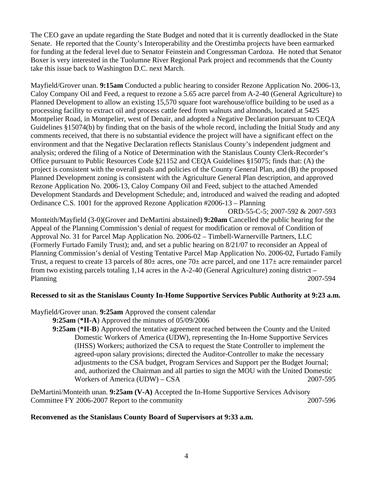The CEO gave an update regarding the State Budget and noted that it is currently deadlocked in the State Senate. He reported that the County's Interoperability and the Orestimba projects have been earmarked for funding at the federal level due to Senator Feinstein and Congressman Cardoza. He noted that Senator Boxer is very interested in the Tuolumne River Regional Park project and recommends that the County take this issue back to Washington D.C. next March.

Mayfield/Grover unan. **9:15am** Conducted a public hearing to consider Rezone Application No. 2006-13, Caloy Company Oil and Feed, a request to rezone a 5.65 acre parcel from A-2-40 (General Agriculture) to Planned Development to allow an existing 15,570 square foot warehouse/office building to be used as a processing facility to extract oil and process cattle feed from walnuts and almonds, located at 5425 Montpelier Road, in Montpelier, west of Denair, and adopted a Negative Declaration pursuant to CEQA Guidelines §15074(b) by finding that on the basis of the whole record, including the Initial Study and any comments received, that there is no substantial evidence the project will have a significant effect on the environment and that the Negative Declaration reflects Stanislaus County's independent judgment and analysis; ordered the filing of a Notice of Determination with the Stanislaus County Clerk-Recorder's Office pursuant to Public Resources Code §21152 and CEQA Guidelines §15075; finds that: (A) the project is consistent with the overall goals and policies of the County General Plan, and (B) the proposed Planned Development zoning is consistent with the Agriculture General Plan description, and approved Rezone Application No. 2006-13, Caloy Company Oil and Feed, subject to the attached Amended Development Standards and Development Schedule; and, introduced and waived the reading and adopted Ordinance C.S. 1001 for the approved Rezone Application #2006-13 – Planning

ORD-55-C-5; 2007-592 & 2007-593

Monteith/Mayfield (3-0)(Grover and DeMartini abstained) **9:20am** Cancelled the public hearing for the Appeal of the Planning Commission's denial of request for modification or removal of Condition of Approval No. 31 for Parcel Map Application No. 2006-02 – Timbell-Warnerville Partners, LLC (Formerly Furtado Family Trust); and, and set a public hearing on 8/21/07 to reconsider an Appeal of Planning Commission's denial of Vesting Tentative Parcel Map Application No. 2006-02, Furtado Family Trust, a request to create 13 parcels of 80± acres, one 70± acre parcel, and one 117± acre remainder parcel from two existing parcels totaling 1,14 acres in the A-2-40 (General Agriculture) zoning district – Planning 2007-594

## **Recessed to sit as the Stanislaus County In-Home Supportive Services Public Authority at 9:23 a.m.**

Mayfield/Grover unan. **9:25am** Approved the consent calendar

- **9:25am** (**\*II-A**) Approved the minutes of 05/09/2006
- **9:25am** (**\*II-B**) Approved the tentative agreement reached between the County and the United Domestic Workers of America (UDW), representing the In-Home Supportive Services (IHSS) Workers; authorized the CSA to request the State Controller to implement the agreed-upon salary provisions; directed the Auditor-Controller to make the necessary adjustments to the CSA budget, Program Services and Support per the Budget Journal; and, authorized the Chairman and all parties to sign the MOU with the United Domestic Workers of America (UDW) – CSA 2007-595

DeMartini/Monteith unan. **9:25am (V-A)** Accepted the In-Home Supportive Services Advisory Committee FY 2006-2007 Report to the community 2007-596

## **Reconvened as the Stanislaus County Board of Supervisors at 9:33 a.m.**